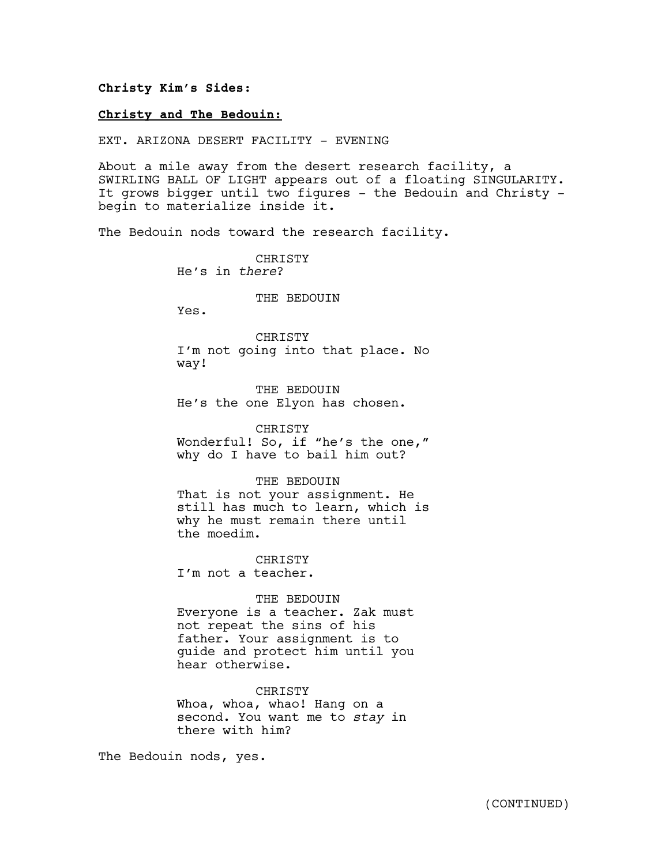## **Christy Kim's Sides:**

## **Christy and The Bedouin:**

EXT. ARIZONA DESERT FACILITY - EVENING

About a mile away from the desert research facility, a SWIRLING BALL OF LIGHT appears out of a floating SINGULARITY. It grows bigger until two figures - the Bedouin and Christy begin to materialize inside it.

The Bedouin nods toward the research facility.

**CHRISTY** He's in *there*?

## THE BEDOUIN

Yes.

CHRISTY I'm not going into that place. No way!

THE BEDOUIN He's the one Elyon has chosen.

CHRISTY Wonderful! So, if "he's the one," why do I have to bail him out?

THE BEDOUIN That is not your assignment. He still has much to learn, which is why he must remain there until

the moedim. CHRISTY

I'm not a teacher.

THE BEDOUIN Everyone is a teacher. Zak must not repeat the sins of his father. Your assignment is to guide and protect him until you hear otherwise.

CHRISTY Whoa, whoa, whao! Hang on a second. You want me to *stay* in there with him?

The Bedouin nods, yes.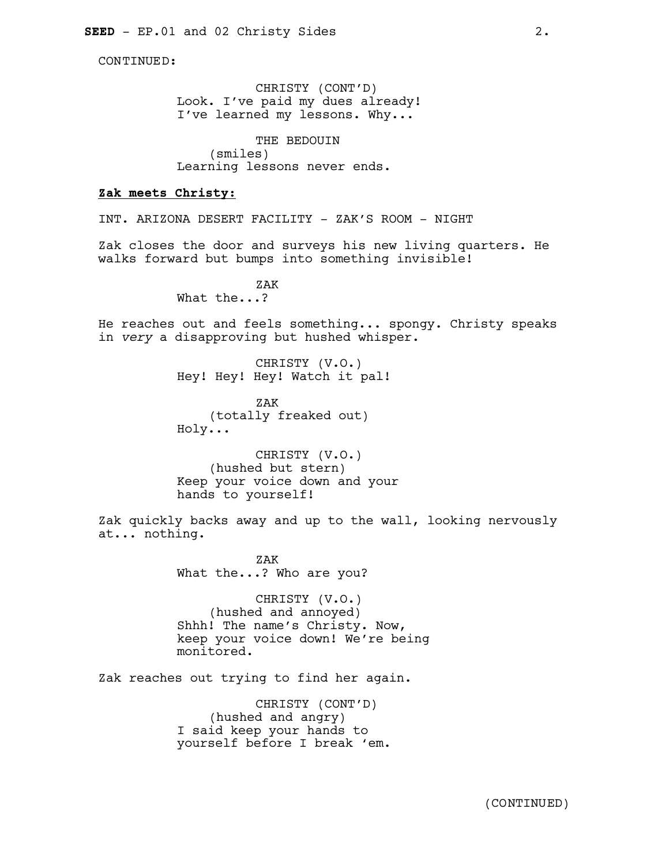CONTINUED:

CHRISTY (CONT'D) Look. I've paid my dues already! I've learned my lessons. Why...

THE BEDOUIN (smiles) Learning lessons never ends.

## **Zak meets Christy:**

INT. ARIZONA DESERT FACILITY - ZAK'S ROOM - NIGHT

Zak closes the door and surveys his new living quarters. He walks forward but bumps into something invisible!

> ZAK What the...?

He reaches out and feels something... spongy. Christy speaks in *very* a disapproving but hushed whisper.

> CHRISTY (V.O.) Hey! Hey! Hey! Watch it pal!

ZAK (totally freaked out) Holy...

CHRISTY (V.O.) (hushed but stern) Keep your voice down and your hands to yourself!

Zak quickly backs away and up to the wall, looking nervously at... nothing.

> ZAK What the...? Who are you?

CHRISTY (V.O.) (hushed and annoyed) Shhh! The name's Christy. Now, keep your voice down! We're being monitored.

Zak reaches out trying to find her again.

CHRISTY (CONT'D) (hushed and angry) I said keep your hands to yourself before I break 'em.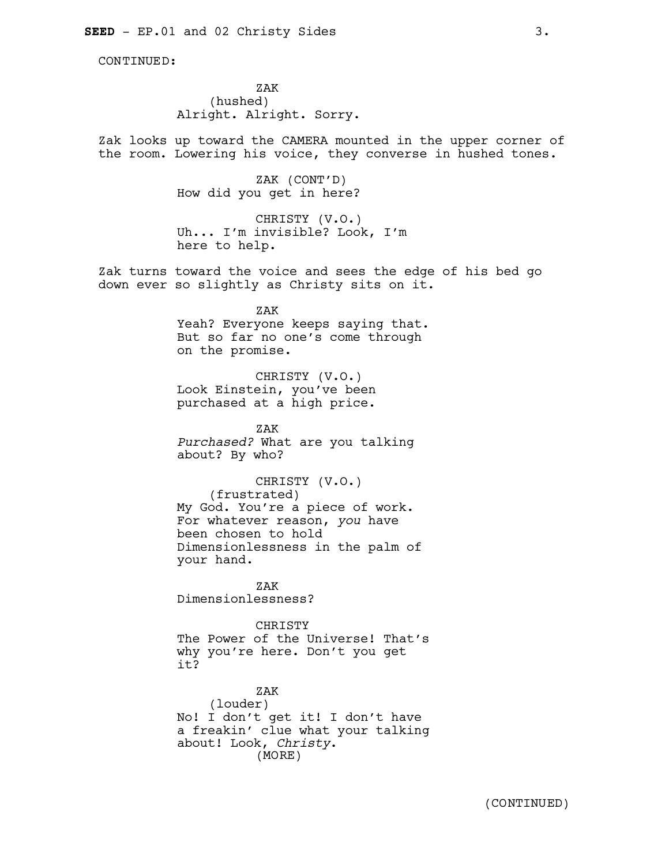CONTINUED:

ZAK (hushed) Alright. Alright. Sorry.

Zak looks up toward the CAMERA mounted in the upper corner of the room. Lowering his voice, they converse in hushed tones.

> ZAK (CONT'D) How did you get in here?

CHRISTY (V.O.) Uh... I'm invisible? Look, I'm here to help.

Zak turns toward the voice and sees the edge of his bed go down ever so slightly as Christy sits on it.

> ZAK Yeah? Everyone keeps saying that. But so far no one's come through on the promise.

CHRISTY (V.O.) Look Einstein, you've been purchased at a high price.

ZAK *Purchased?* What are you talking about? By who?

CHRISTY (V.O.) (frustrated) My God. You're a piece of work. For whatever reason, *you* have been chosen to hold Dimensionlessness in the palm of your hand.

ZAK Dimensionlessness?

CHRISTY The Power of the Universe! That's why you're here. Don't you get it?

ZAK (louder) No! I don't get it! I don't have a freakin' clue what your talking about! Look, *Christy*. (MORE)